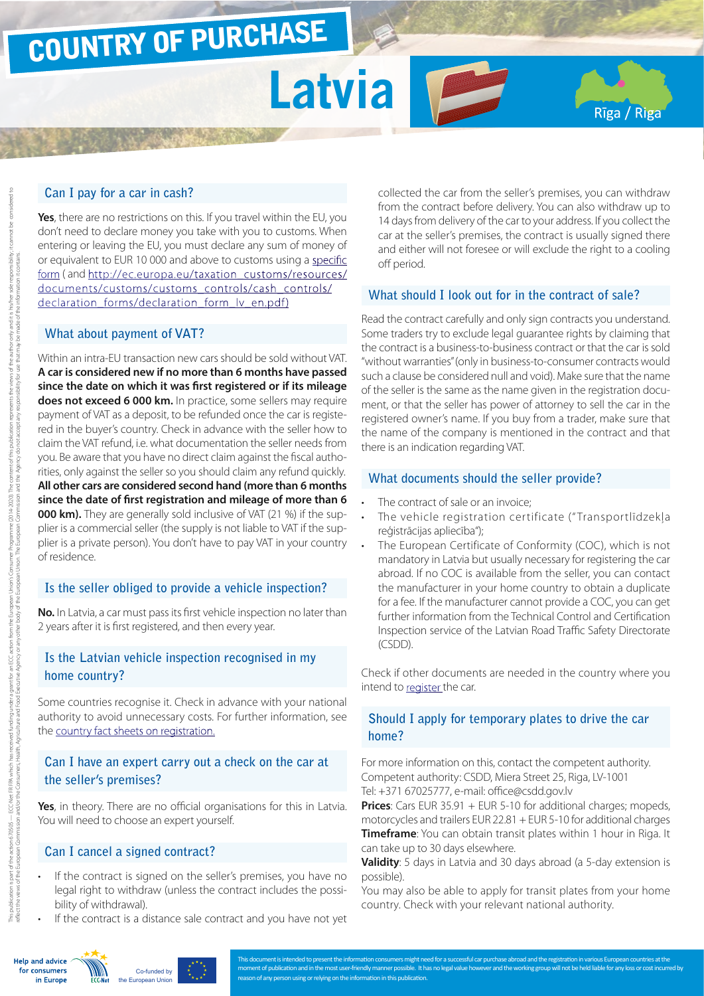# COUNTRY OF PURCHASE

# **Latvia**

#### **Can I pay for a car in cash?**

**Yes**, there are no restrictions on this. If you travel within the EU, you don't need to declare money you take with you to customs. When entering or leaving the EU, you must declare any sum of money of or equivalent to EUR 10 000 and above to customs using a [specific](https://www.vid.gov.lv/default.aspx?tabid=9&id=4934&hl=2&mod=33) [form](https://www.vid.gov.lv/default.aspx?tabid=9&id=4934&hl=2&mod=33) ( and [http://ec.europa.eu/taxation\\_customs/resources/](http://ec.europa.eu/taxation_customs/resources/documents/customs/customs_controls/cash_controls/declaration_forms/declaration_form_lv_en.pdf) [documents/customs/customs\\_controls/cash\\_controls/](http://ec.europa.eu/taxation_customs/resources/documents/customs/customs_controls/cash_controls/declaration_forms/declaration_form_lv_en.pdf) declaration\_forms/declaration\_form\_lv\_en.pdf)

#### **What about payment of VAT?**

Within an intra-EU transaction new cars should be sold without VAT. **A car is considered new if no more than 6 months have passed since the date on which it was first registered or if its mileage does not exceed 6 000 km.** In practice, some sellers may require payment of VAT as a deposit, to be refunded once the car is registered in the buyer's country. Check in advance with the seller how to claim the VAT refund, i.e. what documentation the seller needs from you. Be aware that you have no direct claim against the fiscal authorities, only against the seller so you should claim any refund quickly. **All other cars are considered second hand (more than 6 months since the date of first registration and mileage of more than 6 000 km).** They are generally sold inclusive of VAT (21 %) if the supplier is a commercial seller (the supply is not liable to VAT if the supplier is a private person). You don't have to pay VAT in your country of residence.

#### **Is the seller obliged to provide a vehicle inspection?**

**No.** In Latvia, a car must pass its first vehicle inspection no later than 2 years after it is first registered, and then every year.

# **Is the Latvian vehicle inspection recognised in my home country?**

Some countries recognise it. Check in advance with your national authority to avoid unnecessary costs. For further information, see the [country fact sheets on registration.](http://www.europe-consommateurs.eu/en/consumer-topics/on-the-road/buying-a-car/cross-border-car-purchase-and-registration/)

### **Can I have an expert carry out a check on the car at the seller's premises?**

**Yes**, in theory. There are no official organisations for this in Latvia. You will need to choose an expert yourself.

### **Can I cancel a signed contract?**

- If the contract is signed on the seller's premises, you have no legal right to withdraw (unless the contract includes the possibility of withdrawal).
- If the contract is a distance sale contract and you have not yet

collected the car from the seller's premises, you can withdraw from the contract before delivery. You can also withdraw up to 14 days from delivery of the car to your address. If you collect the car at the seller's premises, the contract is usually signed there and either will not foresee or will exclude the right to a cooling off period.

Rīga / Riga

#### **What should I look out for in the contract of sale?**

Read the contract carefully and only sign contracts you understand. Some traders try to exclude legal guarantee rights by claiming that the contract is a business-to-business contract or that the car is sold "without warranties" (only in business-to-consumer contracts would such a clause be considered null and void). Make sure that the name of the seller is the same as the name given in the registration document, or that the seller has power of attorney to sell the car in the registered owner's name. If you buy from a trader, make sure that the name of the company is mentioned in the contract and that there is an indication regarding VAT.

#### **What documents should the seller provide?**

- The contract of sale or an invoice:
- The vehicle registration certificate (" Transportlīdzekļa reģistrācijas apliecība");
- The European Certificate of Conformity (COC), which is not mandatory in Latvia but usually necessary for registering the car abroad. If no COC is available from the seller, you can contact the manufacturer in your home country to obtain a duplicate for a fee. If the manufacturer cannot provide a COC, you can get further information from the Technical Control and Certification Inspection service of the Latvian Road Traffic Safety Directorate (CSDD).

Check if other documents are needed in the country where you intend to [register t](http://www.europe-consommateurs.eu/en/consumer-topics/on-the-road/buying-a-car/cross-border-car-purchase-and-registration/)he car.

# **Should I apply for temporary plates to drive the car home?**

For more information on this, contact the competent authority. Competent authority: CSDD, Miera Street 25, Riga, LV-1001 Tel: +371 67025777, e-mail: office@csdd.gov.lv

**Prices**: Cars EUR 35.91 + EUR 5-10 for additional charges; mopeds, motorcycles and trailers EUR 22.81 + EUR 5-10 for additional charges **Timeframe**: You can obtain transit plates within 1 hour in Riga. It can take up to 30 days elsewhere.

**Validity**: 5 days in Latvia and 30 days abroad (a 5-day extension is possible).

You may also be able to apply for transit plates from your home country. Check with your relevant national authority.





t need for a successful car purchase a moment of publication and in the most user-friendly manner possible. It has no legal value however and the working group will not be held liable for any loss or cost incurred by reason of any person using or relying on the information in this publication.